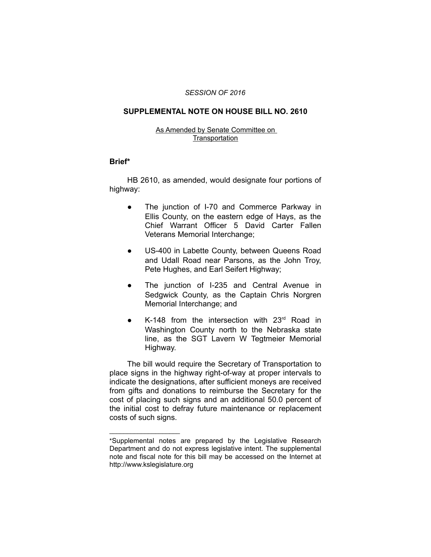#### *SESSION OF 2016*

## **SUPPLEMENTAL NOTE ON HOUSE BILL NO. 2610**

### As Amended by Senate Committee on **Transportation**

### **Brief\***

HB 2610, as amended, would designate four portions of highway:

- The junction of I-70 and Commerce Parkway in Ellis County, on the eastern edge of Hays, as the Chief Warrant Officer 5 David Carter Fallen Veterans Memorial Interchange;
- US-400 in Labette County, between Queens Road and Udall Road near Parsons, as the John Troy, Pete Hughes, and Earl Seifert Highway;
- The junction of I-235 and Central Avenue in Sedgwick County, as the Captain Chris Norgren Memorial Interchange; and
- $K-148$  from the intersection with 23 $rd$  Road in Washington County north to the Nebraska state line, as the SGT Lavern W Tegtmeier Memorial Highway.

The bill would require the Secretary of Transportation to place signs in the highway right-of-way at proper intervals to indicate the designations, after sufficient moneys are received from gifts and donations to reimburse the Secretary for the cost of placing such signs and an additional 50.0 percent of the initial cost to defray future maintenance or replacement costs of such signs.

 $\overline{\phantom{a}}$  , where  $\overline{\phantom{a}}$  , where  $\overline{\phantom{a}}$ 

<sup>\*</sup>Supplemental notes are prepared by the Legislative Research Department and do not express legislative intent. The supplemental note and fiscal note for this bill may be accessed on the Internet at http://www.kslegislature.org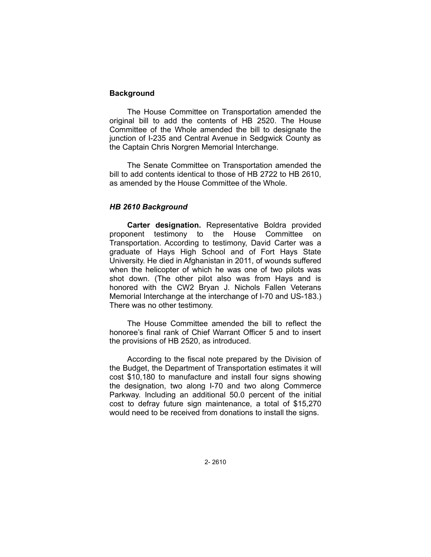# **Background**

The House Committee on Transportation amended the original bill to add the contents of HB 2520. The House Committee of the Whole amended the bill to designate the junction of I-235 and Central Avenue in Sedgwick County as the Captain Chris Norgren Memorial Interchange.

The Senate Committee on Transportation amended the bill to add contents identical to those of HB 2722 to HB 2610, as amended by the House Committee of the Whole.

## *HB 2610 Background*

**Carter designation.** Representative Boldra provided proponent testimony to the House Committee on Transportation. According to testimony, David Carter was a graduate of Hays High School and of Fort Hays State University. He died in Afghanistan in 2011, of wounds suffered when the helicopter of which he was one of two pilots was shot down. (The other pilot also was from Hays and is honored with the CW2 Bryan J. Nichols Fallen Veterans Memorial Interchange at the interchange of I-70 and US-183.) There was no other testimony.

The House Committee amended the bill to reflect the honoree's final rank of Chief Warrant Officer 5 and to insert the provisions of HB 2520, as introduced.

According to the fiscal note prepared by the Division of the Budget, the Department of Transportation estimates it will cost \$10,180 to manufacture and install four signs showing the designation, two along I-70 and two along Commerce Parkway. Including an additional 50.0 percent of the initial cost to defray future sign maintenance, a total of \$15,270 would need to be received from donations to install the signs.